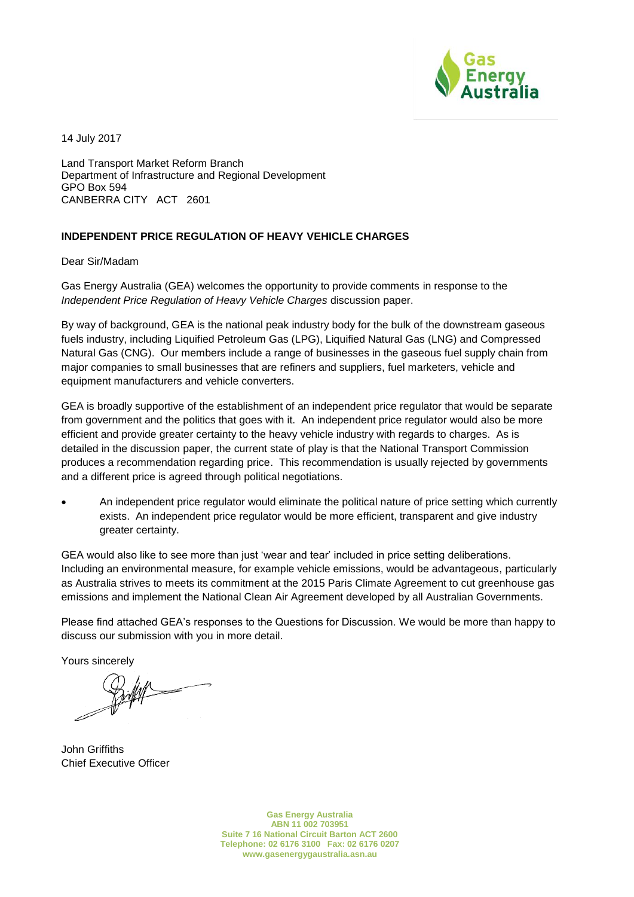

14 July 2017

Land Transport Market Reform Branch Department of Infrastructure and Regional Development GPO Box 594 CANBERRA CITY ACT 2601

## **INDEPENDENT PRICE REGULATION OF HEAVY VEHICLE CHARGES**

Dear Sir/Madam

Gas Energy Australia (GEA) welcomes the opportunity to provide comments in response to the *Independent Price Regulation of Heavy Vehicle Charges* discussion paper.

By way of background, GEA is the national peak industry body for the bulk of the downstream gaseous fuels industry, including Liquified Petroleum Gas (LPG), Liquified Natural Gas (LNG) and Compressed Natural Gas (CNG). Our members include a range of businesses in the gaseous fuel supply chain from major companies to small businesses that are refiners and suppliers, fuel marketers, vehicle and equipment manufacturers and vehicle converters.

GEA is broadly supportive of the establishment of an independent price regulator that would be separate from government and the politics that goes with it. An independent price regulator would also be more efficient and provide greater certainty to the heavy vehicle industry with regards to charges. As is detailed in the discussion paper, the current state of play is that the National Transport Commission produces a recommendation regarding price. This recommendation is usually rejected by governments and a different price is agreed through political negotiations.

• An independent price regulator would eliminate the political nature of price setting which currently exists. An independent price regulator would be more efficient, transparent and give industry greater certainty.

GEA would also like to see more than just 'wear and tear' included in price setting deliberations. Including an environmental measure, for example vehicle emissions, would be advantageous, particularly as Australia strives to meets its commitment at the 2015 Paris Climate Agreement to cut greenhouse gas emissions and implement the National Clean Air Agreement developed by all Australian Governments.

Please find attached GEA's responses to the Questions for Discussion. We would be more than happy to discuss our submission with you in more detail.

Yours sincerely

John Griffiths  $\alpha$ 

John Griffiths Chief Executive Officer

**Gas Energy Australia ABN 11 002 703951 Suite 7 16 National Circuit Barton ACT 2600 Telephone: 02 6176 3100 Fax: 02 6176 0207 www.gasenergygaustralia.asn.au**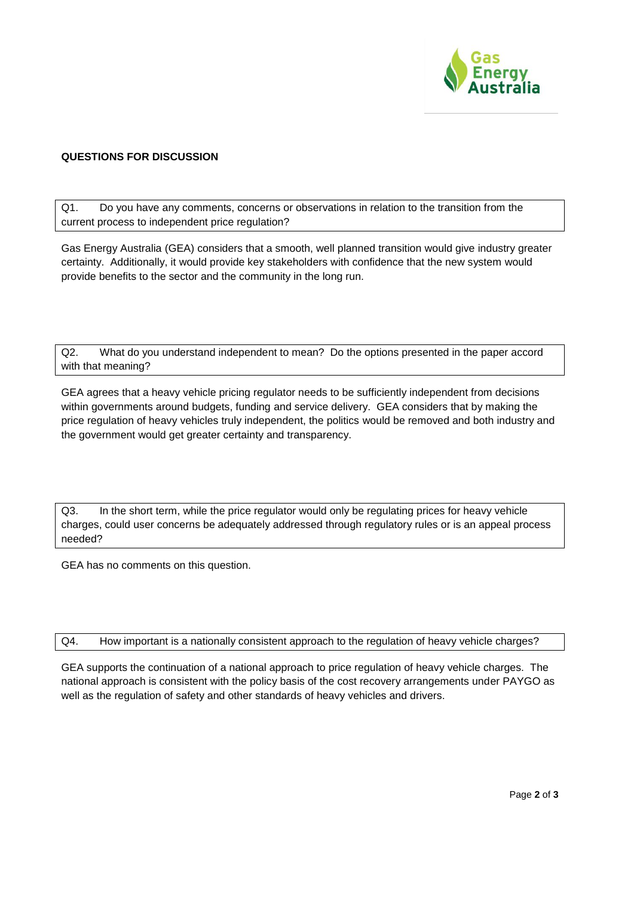

## **QUESTIONS FOR DISCUSSION**

Q1. Do you have any comments, concerns or observations in relation to the transition from the current process to independent price regulation?

Gas Energy Australia (GEA) considers that a smooth, well planned transition would give industry greater certainty. Additionally, it would provide key stakeholders with confidence that the new system would provide benefits to the sector and the community in the long run.

Q2. What do you understand independent to mean? Do the options presented in the paper accord with that meaning?

GEA agrees that a heavy vehicle pricing regulator needs to be sufficiently independent from decisions within governments around budgets, funding and service delivery. GEA considers that by making the price regulation of heavy vehicles truly independent, the politics would be removed and both industry and the government would get greater certainty and transparency.

Q3. In the short term, while the price regulator would only be regulating prices for heavy vehicle charges, could user concerns be adequately addressed through regulatory rules or is an appeal process needed?

GEA has no comments on this question.

Q4. How important is a nationally consistent approach to the regulation of heavy vehicle charges?

GEA supports the continuation of a national approach to price regulation of heavy vehicle charges. The national approach is consistent with the policy basis of the cost recovery arrangements under PAYGO as well as the regulation of safety and other standards of heavy vehicles and drivers.